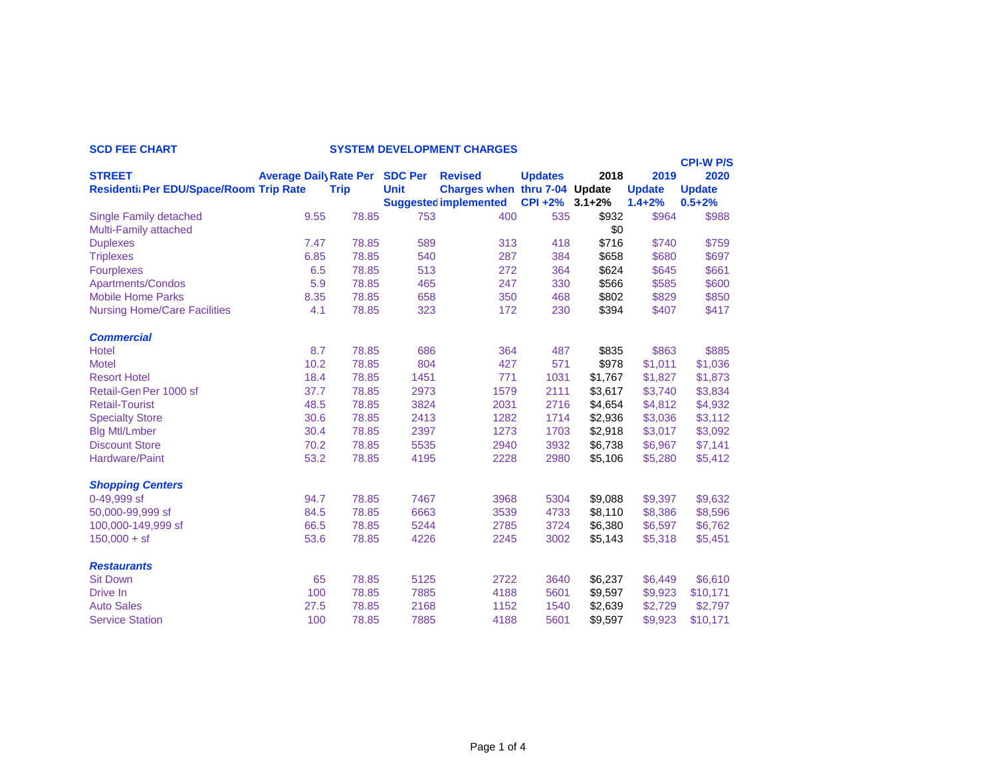|                                         |                              |             |                |                               |                |         |               | <b>CPI-W P/S</b> |
|-----------------------------------------|------------------------------|-------------|----------------|-------------------------------|----------------|---------|---------------|------------------|
| <b>STREET</b>                           | <b>Average Dail Rate Per</b> |             | <b>SDC Per</b> | <b>Revised</b>                | <b>Updates</b> | 2018    | 2019          | 2020             |
| Residenti: Per EDU/Space/Room Trip Rate |                              | <b>Trip</b> | <b>Unit</b>    | Charges when thru 7-04 Update |                |         | <b>Update</b> | <b>Update</b>    |
|                                         |                              |             |                | <b>Suggested implemented</b>  | CPI +2% 3.1+2% |         | $1.4 + 2%$    | $0.5 + 2%$       |
| <b>Single Family detached</b>           | 9.55                         | 78.85       | 753            | 400                           | 535            | \$932   | \$964         | \$988            |
| Multi-Family attached                   |                              |             |                |                               |                | \$0     |               |                  |
| <b>Duplexes</b>                         | 7.47                         | 78.85       | 589            | 313                           | 418            | \$716   | \$740         | \$759            |
| <b>Triplexes</b>                        | 6.85                         | 78.85       | 540            | 287                           | 384            | \$658   | \$680         | \$697            |
| <b>Fourplexes</b>                       | 6.5                          | 78.85       | 513            | 272                           | 364            | \$624   | \$645         | \$661            |
| Apartments/Condos                       | 5.9                          | 78.85       | 465            | 247                           | 330            | \$566   | \$585         | \$600            |
| <b>Mobile Home Parks</b>                | 8.35                         | 78.85       | 658            | 350                           | 468            | \$802   | \$829         | \$850            |
| <b>Nursing Home/Care Facilities</b>     | 4.1                          | 78.85       | 323            | 172                           | 230            | \$394   | \$407         | \$417            |
| <b>Commercial</b>                       |                              |             |                |                               |                |         |               |                  |
| <b>Hotel</b>                            | 8.7                          | 78.85       | 686            | 364                           | 487            | \$835   | \$863         | \$885            |
| <b>Motel</b>                            | 10.2                         | 78.85       | 804            | 427                           | 571            | \$978   | \$1,011       | \$1,036          |
| <b>Resort Hotel</b>                     | 18.4                         | 78.85       | 1451           | 771                           | 1031           | \$1,767 | \$1,827       | \$1,873          |
| Retail-Gen Per 1000 sf                  | 37.7                         | 78.85       | 2973           | 1579                          | 2111           | \$3,617 | \$3,740       | \$3,834          |
| <b>Retail-Tourist</b>                   | 48.5                         | 78.85       | 3824           | 2031                          | 2716           | \$4,654 | \$4,812       | \$4,932          |
| <b>Specialty Store</b>                  | 30.6                         | 78.85       | 2413           | 1282                          | 1714           | \$2,936 | \$3,036       | \$3,112          |
| <b>Blg Mtl/Lmber</b>                    | 30.4                         | 78.85       | 2397           | 1273                          | 1703           | \$2,918 | \$3,017       | \$3,092          |
| <b>Discount Store</b>                   | 70.2                         | 78.85       | 5535           | 2940                          | 3932           | \$6,738 | \$6,967       | \$7,141          |
| Hardware/Paint                          | 53.2                         | 78.85       | 4195           | 2228                          | 2980           | \$5,106 | \$5,280       | \$5,412          |
| <b>Shopping Centers</b>                 |                              |             |                |                               |                |         |               |                  |
| 0-49,999 sf                             | 94.7                         | 78.85       | 7467           | 3968                          | 5304           | \$9,088 | \$9,397       | \$9,632          |
| 50,000-99,999 sf                        | 84.5                         | 78.85       | 6663           | 3539                          | 4733           | \$8,110 | \$8,386       | \$8,596          |
| 100,000-149,999 sf                      | 66.5                         | 78.85       | 5244           | 2785                          | 3724           | \$6,380 | \$6,597       | \$6,762          |
| $150,000 + sf$                          | 53.6                         | 78.85       | 4226           | 2245                          | 3002           | \$5,143 | \$5,318       | \$5,451          |
| <b>Restaurants</b>                      |                              |             |                |                               |                |         |               |                  |
| <b>Sit Down</b>                         | 65                           | 78.85       | 5125           | 2722                          | 3640           | \$6,237 | \$6,449       | \$6,610          |
| Drive In                                | 100                          | 78.85       | 7885           | 4188                          | 5601           | \$9,597 | \$9,923       | \$10,171         |
| <b>Auto Sales</b>                       | 27.5                         | 78.85       | 2168           | 1152                          | 1540           | \$2,639 | \$2,729       | \$2,797          |
| <b>Service Station</b>                  | 100                          | 78.85       | 7885           | 4188                          | 5601           | \$9,597 | \$9,923       | \$10,171         |

**SCD FEE CHART SYSTEM DEVELOPMENT CHARGES**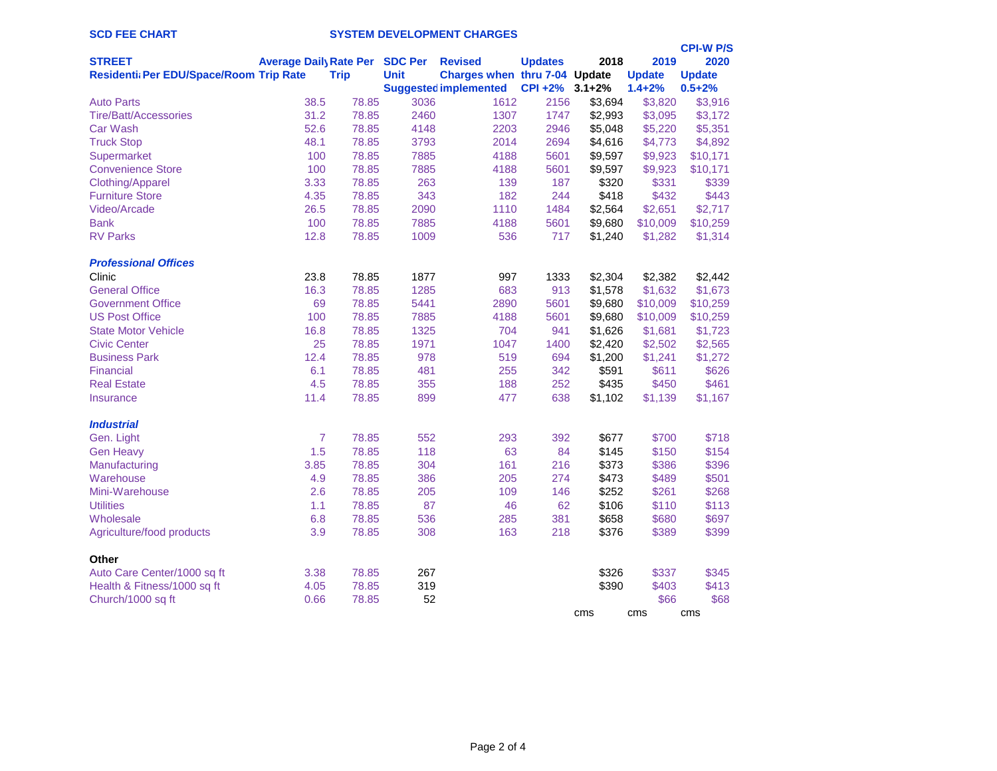| <b>SCD FEE CHART</b><br><b>SYSTEM DEVELOPMENT CHARGES</b> |                              |             |                |                               |                |         |               |                  |
|-----------------------------------------------------------|------------------------------|-------------|----------------|-------------------------------|----------------|---------|---------------|------------------|
|                                                           |                              |             |                |                               |                |         |               | <b>CPI-W P/S</b> |
| <b>STREET</b>                                             | <b>Average Dail Rate Per</b> |             | <b>SDC Per</b> | <b>Revised</b>                | <b>Updates</b> | 2018    | 2019          | 2020             |
| Residenti: Per EDU/Space/Room Trip Rate                   |                              | <b>Trip</b> | <b>Unit</b>    | Charges when thru 7-04 Update |                |         | <b>Update</b> | <b>Update</b>    |
|                                                           |                              |             |                | <b>Suggested implemented</b>  | CPI +2% 3.1+2% |         | $1.4 + 2%$    | $0.5 + 2%$       |
| <b>Auto Parts</b>                                         | 38.5                         | 78.85       | 3036           | 1612                          | 2156           | \$3,694 | \$3,820       | \$3,916          |
| <b>Tire/Batt/Accessories</b>                              | 31.2                         | 78.85       | 2460           | 1307                          | 1747           | \$2,993 | \$3,095       | \$3,172          |
| Car Wash                                                  | 52.6                         | 78.85       | 4148           | 2203                          | 2946           | \$5,048 | \$5,220       | \$5,351          |
| <b>Truck Stop</b>                                         | 48.1                         | 78.85       | 3793           | 2014                          | 2694           | \$4,616 | \$4,773       | \$4,892          |
| Supermarket                                               | 100                          | 78.85       | 7885           | 4188                          | 5601           | \$9,597 | \$9,923       | \$10,171         |
| <b>Convenience Store</b>                                  | 100                          | 78.85       | 7885           | 4188                          | 5601           | \$9,597 | \$9,923       | \$10,171         |
| Clothing/Apparel                                          | 3.33                         | 78.85       | 263            | 139                           | 187            | \$320   | \$331         | \$339            |
| <b>Furniture Store</b>                                    | 4.35                         | 78.85       | 343            | 182                           | 244            | \$418   | \$432         | \$443            |
| <b>Video/Arcade</b>                                       | 26.5                         | 78.85       | 2090           | 1110                          | 1484           | \$2,564 | \$2,651       | \$2,717          |
| <b>Bank</b>                                               | 100                          | 78.85       | 7885           | 4188                          | 5601           | \$9,680 | \$10,009      | \$10,259         |
| <b>RV Parks</b>                                           | 12.8                         | 78.85       | 1009           | 536                           | 717            | \$1,240 | \$1,282       | \$1,314          |
| <b>Professional Offices</b>                               |                              |             |                |                               |                |         |               |                  |
| Clinic                                                    | 23.8                         | 78.85       | 1877           | 997                           | 1333           | \$2,304 | \$2,382       | \$2,442          |
| <b>General Office</b>                                     | 16.3                         | 78.85       | 1285           | 683                           | 913            | \$1,578 | \$1,632       | \$1,673          |
| <b>Government Office</b>                                  | 69                           | 78.85       | 5441           | 2890                          | 5601           | \$9,680 | \$10,009      | \$10,259         |
| <b>US Post Office</b>                                     | 100                          | 78.85       | 7885           | 4188                          | 5601           | \$9,680 | \$10,009      | \$10,259         |
| <b>State Motor Vehicle</b>                                | 16.8                         | 78.85       | 1325           | 704                           | 941            | \$1,626 | \$1,681       | \$1,723          |
| <b>Civic Center</b>                                       | 25                           | 78.85       | 1971           | 1047                          | 1400           | \$2,420 | \$2,502       | \$2,565          |
| <b>Business Park</b>                                      | 12.4                         | 78.85       | 978            | 519                           | 694            | \$1,200 | \$1,241       | \$1,272          |
| <b>Financial</b>                                          | 6.1                          | 78.85       | 481            | 255                           | 342            | \$591   | \$611         | \$626            |
| <b>Real Estate</b>                                        | 4.5                          | 78.85       | 355            | 188                           | 252            | \$435   | \$450         | \$461            |
| <b>Insurance</b>                                          | 11.4                         | 78.85       | 899            | 477                           | 638            | \$1,102 | \$1,139       | \$1,167          |
| <b>Industrial</b>                                         |                              |             |                |                               |                |         |               |                  |
| Gen. Light                                                | 7                            | 78.85       | 552            | 293                           | 392            | \$677   | \$700         | \$718            |
|                                                           | 1.5                          | 78.85       | 118            | 63                            | 84             | \$145   | \$150         | \$154            |
| <b>Gen Heavy</b><br>Manufacturing                         | 3.85                         | 78.85       | 304            | 161                           | 216            | \$373   | \$386         | \$396            |
| Warehouse                                                 | 4.9                          | 78.85       | 386            | 205                           | 274            | \$473   | \$489         | \$501            |
| Mini-Warehouse                                            | 2.6                          | 78.85       | 205            | 109                           | 146            | \$252   | \$261         | \$268            |
| <b>Utilities</b>                                          | 1.1                          | 78.85       |                |                               |                | \$106   |               |                  |
|                                                           |                              | 78.85       | 87             | 46                            | 62             |         | \$110         | \$113            |
| Wholesale                                                 | 6.8                          |             | 536            | 285                           | 381            | \$658   | \$680         | \$697            |
| Agriculture/food products                                 | 3.9                          | 78.85       | 308            | 163                           | 218            | \$376   | \$389         | \$399            |
| Other                                                     |                              |             |                |                               |                |         |               |                  |
| Auto Care Center/1000 sq ft                               | 3.38                         | 78.85       | 267            |                               |                | \$326   | \$337         | \$345            |
| Health & Fitness/1000 sq ft                               | 4.05                         | 78.85       | 319            |                               |                | \$390   | \$403         | \$413            |
| Church/1000 sq ft                                         | 0.66                         | 78.85       | 52             |                               |                |         | \$66          | \$68             |
|                                                           |                              |             |                |                               |                | cms     | cms           | cms              |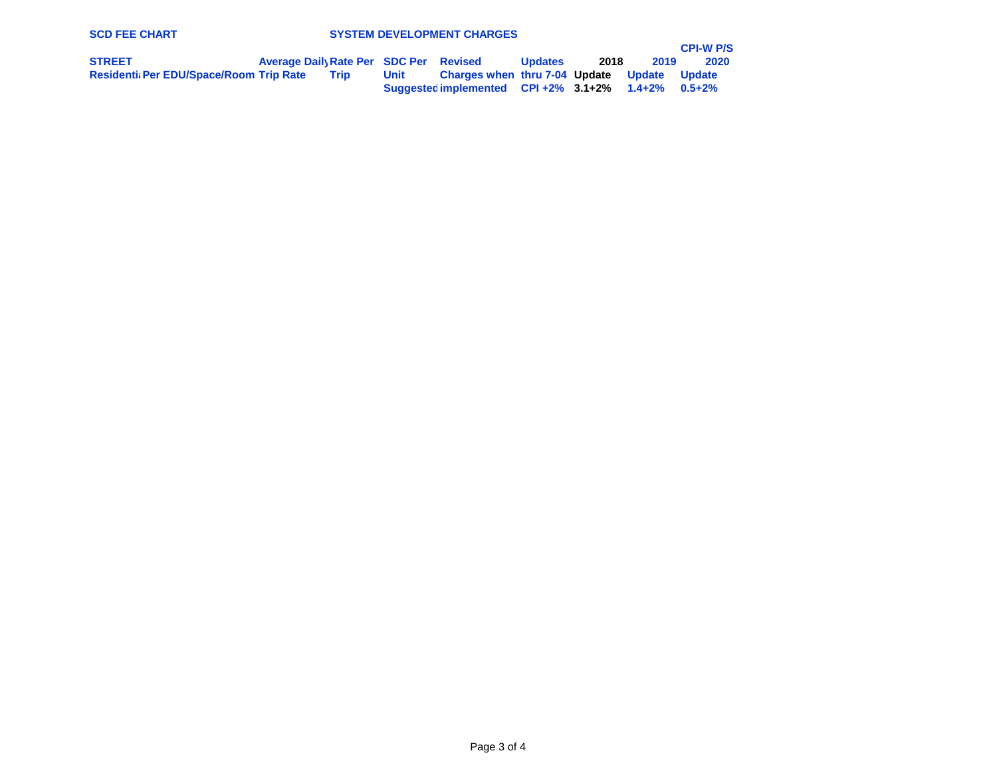| <b>SCD FEE CHART</b>                           | <b>SYSTEM DEVELOPMENT CHARGES</b>     |      |      |                                                       |                |      |      |                  |
|------------------------------------------------|---------------------------------------|------|------|-------------------------------------------------------|----------------|------|------|------------------|
|                                                |                                       |      |      |                                                       |                |      |      | <b>CPI-W P/S</b> |
| <b>STREET</b>                                  | Average Dail Rate Per SDC Per Revised |      |      |                                                       | <b>Updates</b> | 2018 | 2019 | 2020             |
| <b>Residenti: Per EDU/Space/Room Trip Rate</b> |                                       | Trip | Unit | Charges when thru 7-04 Update Update                  |                |      |      | <b>Update</b>    |
|                                                |                                       |      |      | Suggested implemented CPI +2% $3.1+2\%$ 1.4+2% 0.5+2% |                |      |      |                  |